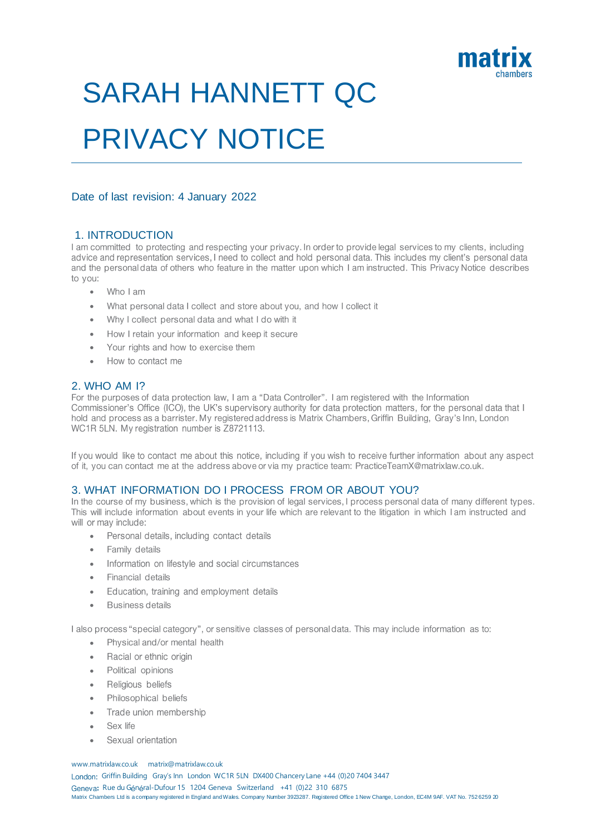

# SARAH HANNETT QC

## PRIVACY NOTICE

## Date of last revision: 4 January 2022

1. INTRODUCTION<br>I am committed to protecting and respecting your privacy. In order to provide legal services to my clients, including advice and representation services, I need to collect and hold personal data. This includes my client's personal data and the personal data of others who feature in the matter upon which I am instructed. This Privacy Notice describes to you:

- Who Lam •
- What personal data I collect and store about you, and how I collect it •
- Why I collect personal data and what I do with it •
- How I retain your information and keep it secure •
- Your rights and how to exercise them •
- How to contact me •

2. WHO AM 1?<br>For the purposes of data protection law, I am a "Data Controller". I am registered with the Information Commissioner's Office (ICO), the UK's supervisory authority for data protection matters, for the personal data that I hold and process as a barrister. My registered address is Matrix Chambers, Griffin Building, Gray's Inn, London WC1R 5LN. My registration number is Z8721113.

If you would like to contact me about this notice, including if you wish to receive further information about any aspect of it, you can contact me at the address above or via my practice team: PracticeTeamX@matrixlaw.co.uk.

## 3. WHAT INFORMATION DO I PROCESS FROM OR ABOUT YOU?<br>In the course of my business, which is the provision of legal services, I process personal data of many different types,

This will include information about events in your life which are relevant to the litigation in which I am instructed and will or may include:

- Personal details, including contact details •
- Family details •
- Information on lifestyle and social circumstances •
- Financial details •
- Education, training and employment details •
- **Business details** •

I also process "special category", or sensitive classes of personal data. This may include information as to:

- Physical and/or mental health •
- Racial or ethnic origin •
- Political opinions •
- Religious beliefs •
- Philosophical beliefs •
- Trade union membership •
- Sex life •
- Sexual orientation •

## www.matrixlaw.co.uk matrix@matrixlaw.co.uk

London: Griffin Building Gray's Inn London WC1R 5LN DX400 Chancery Lane +44 (0)20 7404 3447 Geneva: Rue du Général-Dufour 15 1204 Geneva Switzerland +41 (0)22 310 6875 Matrix Chambers Ltd is a company registered in England and Wales. Company Number 3923287. Registered Office 1 New Change, London, EC4M 9AF. VAT No. 752 6259 20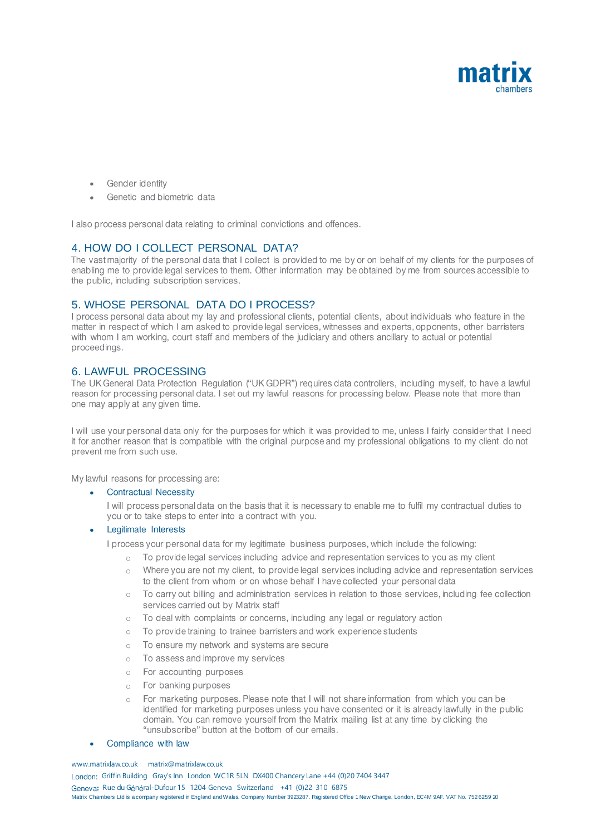

- Gender identity •
- Genetic and biometric data •

I also process personal data relating to criminal convictions and offences.

4. HOW DO I COLLECT PERSONAL DATA?<br>The vastmajority of the personal data that I collect is provided to me by or on behalf of my clients for the purposes of enabling me to provide legal services to them. Other information may be obtained by me from sources accessible to the public, including subscription services.

5. WHOSE PERSONAL DATA DO I PROCESS?<br>I process personal data about my lay and professional clients, potential clients, about individuals who feature in the matter in respect of which I am asked to provide legal services, witnesses and experts, opponents, other barristers with whom I am working, court staff and members of the judiciary and others ancillary to actual or potential proceedings.

6. LAWFUL PROCESSING<br>The UK General Data Protection Regulation ("UK GDPR") requires data controllers, including myself, to have a lawful reason for processing personal data. I set out my lawful reasons for processing below. Please note that more than one may apply at any given time.

I will use your personal data only for the purposes for which it was provided to me, unless I fairly consider that I need it for another reason that is compatible with the original purpose and my professional obligations to my client do not prevent me from such use.

My lawful reasons for processing are:

## • Contractual Necessity

I will process personal data on the basis that it is necessary to enable me to fulfil my contractual duties to you or to take steps to enter into a contract with you.

## Legitimate Interests •

I process your personal data for my legitimate business purposes, which include the following:

- To provide legal services including advice and representation services to you as my client o
- Where you are not my client, to provide legal services including advice and representation services o to the client from whom or on whose behalf I have collected your personal data
- To carry out billing and administration services in relation to those services, including fee collection o services carried out by Matrix staff
- To deal with complaints or concerns, including any legal or regulatory action o
- To provide training to trainee barristers and work experience students o
- To ensure my network and systems are secure o
- To assess and improve my services o
- For accounting purposes o
- For banking purposes o
- For marketing purposes. Please note that I will not share information from which you can be o identified for marketing purposes unless you have consented or it is already lawfully in the public domain. You can remove yourself from the Matrix mailing list at any time by clicking the "unsubscribe" button at the bottom of our emails.
- Compliance with law •

## www.matrixlaw.co.uk matrix@matrixlaw.co.uk

London: Griffin Building Gray's Inn London WC1R 5LN DX400 Chancery Lane +44 (0)20 7404 3447 Geneva: Rue du Général-Dufour 15 1204 Geneva Switzerland +41 (0)22 310 6875 Matrix Chambers Ltd is a company registered in England and Wales. Company Number 3923287. Registered Office 1 New Change, London, EC4M 9AF. VAT No. 752 6259 20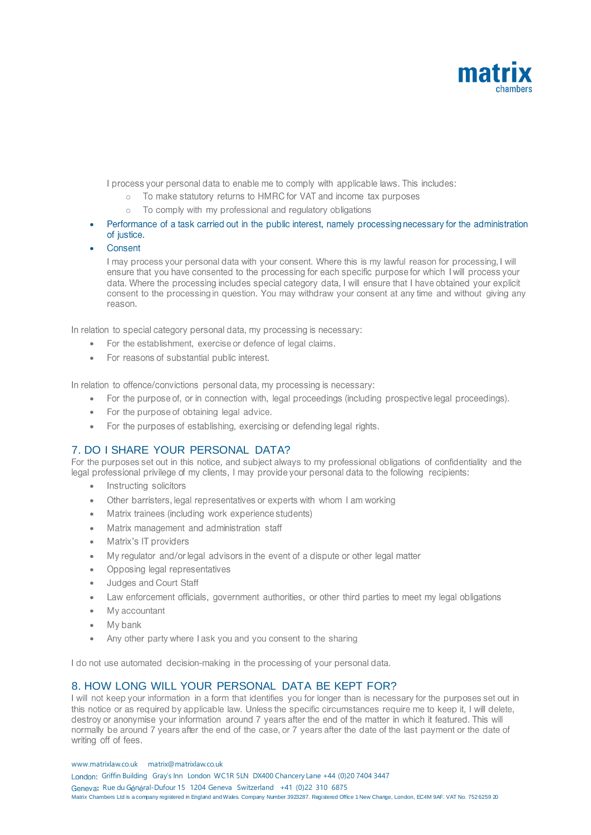

I process your personal data to enable me to comply with applicable laws. This includes:

- o To make statutory returns to HMRC for VAT and income tax purposes
- o To comply with my professional and regulatory obligations
- Performance of a task carried out in the public interest, namely processing necessary for the administration • of justice.
- Consent •

I may process your personal data with your consent. Where this is my lawful reason for processing, I will ensure that you have consented to the processing for each specific purpose for which I will process your data. Where the processing includes special category data, I will ensure that I have obtained your explicit consent to the processing in question. You may withdraw your consent at any time and without giving any reason.

In relation to special category personal data, my processing is necessary:

- For the establishment, exercise or defence of legal claims. •
- For reasons of substantial public interest. •

In relation to offence/convictions personal data, my processing is necessary:

- For the purpose of, or in connection with, legal proceedings (including prospective legal proceedings). •
- For the purpose of obtaining legal advice. •
- For the purposes of establishing, exercising or defending legal rights. •

7. DO I SHARE YOUR PERSONAL DATA?<br>For the purposes set out in this notice, and subject always to my professional obligations of confidentiality and the legal professional privilege of my clients, I may provide your personal data to the following recipients:

- Instructing solicitors •
- Other barristers, legal representatives or experts with whom I am working •
- Matrix trainees (including work experience students) •
- Matrix management and administration staff •
- Matrix's IT providers •
- My regulator and/or legal advisors in the event of a dispute or other legal matter •
- Opposing legal representatives •
- Judges and Court Staff •
- Law enforcement officials, government authorities, or other third parties to meet my legal obligations •
- My accountant •
- My bank •
- Any other party where I ask you and you consent to the sharing •

I do not use automated decision-making in the processing of your personal data.

## 8. HOW LONG WILL YOUR PERSONAL DATA BE KEPT FOR?

I will not keep your information in a form that identifies you for longer than is necessary for the purposes set out in this notice or as required by applicable law. Unless the specific circumstances require me to keep it, I will delete, destroy or anonymise your information around 7 years after the end of the matter in which it featured. This will normally be around 7 years after the end of the case, or 7 years after the date of the last payment or the date of writing off of fees.

www.matrixlaw.co.uk matrix@matrixlaw.co.uk

London: Griffin Building Gray's Inn London WC1R 5LN DX400 Chancery Lane +44 (0)20 7404 3447 Geneva: Rue du Général-Dufour 15 1204 Geneva Switzerland +41 (0)22 310 6875 Matrix Chambers Ltd is a company registered in England and Wales. Company Number 3923287. Registered Office 1 New Change, London, EC4M 9AF. VAT No. 752 6259 20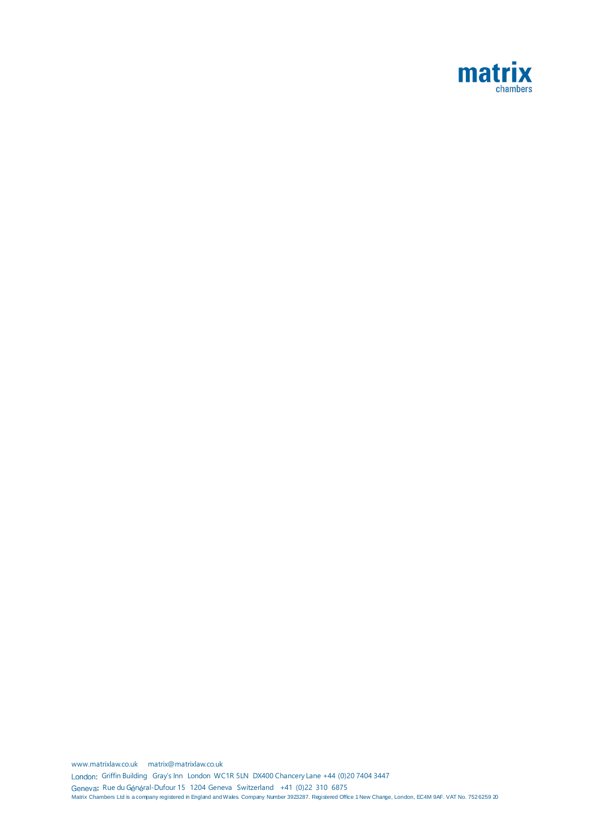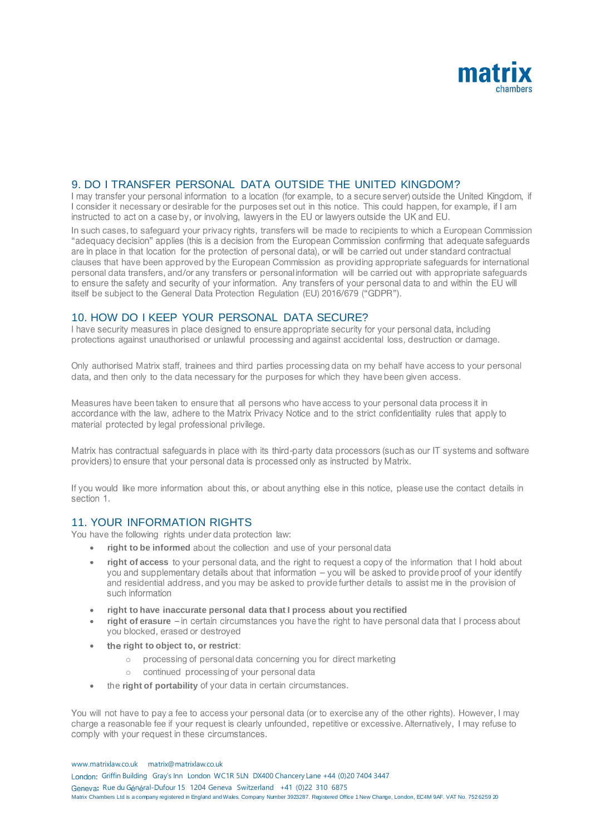

## 9. DO I TRANSFER PERSONAL DATA OUTSIDE THE UNITED KINGDOM?<br>I may transfer your personal information to a location (for example, to a secure server) outside the United Kingdom, if

I consider it necessary or desirable for the purposes set out in this notice. This could happen, for example, if I am instructed to act on a case by, or involving, lawyers in the EU or lawyers outside the UK and EU.

In such cases, to safeguard your privacy rights, transfers will be made to recipients to which a European Commission "adequacy decision" applies (this is a decision from the European Commission confirming that adequate safeguards are in place in that location for the protection of personal data), or will be carried out under standard contractual clauses that have been approved by the European Commission as providing appropriate safeguards for international personal data transfers, and/or any transfers or personal information will be carried out with appropriate safeguards to ensure the safety and security of your information. Any transfers of your personal data to and within the EU will itself be subject to the General Data Protection Regulation (EU) 2016/679 ("GDPR").

## 10. HOW DO I KEEP YOUR PERSONAL DATA SECURE?<br>Thave security measures in place designed to ensure appropriate security for your personal data, including

protections against unauthorised or unlawful processing and against accidental loss, destruction or damage.

Only authorised Matrix staff, trainees and third parties processing data on my behalf have access to your personal data, and then only to the data necessary for the purposes for which they have been given access.

Measures have been taken to ensure that all persons who have access to your personal data process it in accordance with the law, adhere to the Matrix Privacy Notice and to the strict confidentiality rules that apply to material protected by legal professional privilege.

Matrix has contractual safeguards in place with its third-party data processors (such as our IT systems and software providers) to ensure that your personal data is processed only as instructed by Matrix.

If you would like more information about this, or about anything else in this notice, please use the contact details in section 1.

## 11. YOUR INFORMATION RIGHTS<br>You have the following rights under data protection law:

- right to be informed about the collection and use of your personal data
- **right of access** to your personal data, and the right to request a copy of the information that I hold about you and supplementary details about that information you will be asked to provide proof of your identify and residential address, and you may be asked to provide further details to assist me in the provision of such information
- **right to have inaccurate personal data that I process about you rectified**
- **right of erasure** in certain circumstances you have the right to have personal data that I process about you blocked, erased or destroyed
- **right to object to, or restrict**:
	- processing of personal data concerning you for direct marketing o
	- continued processing of your personal data o
- the **right of portability** of your data in certain circumstances.

You will not have to pay a fee to access your personal data (or to exercise any of the other rights). However, I may charge a reasonable fee if your request is clearly unfounded, repetitive or excessive. Alternatively, I may refuse to comply with your request in these circumstances.

www.matrixlaw.co.uk matrix@matrixlaw.co.uk